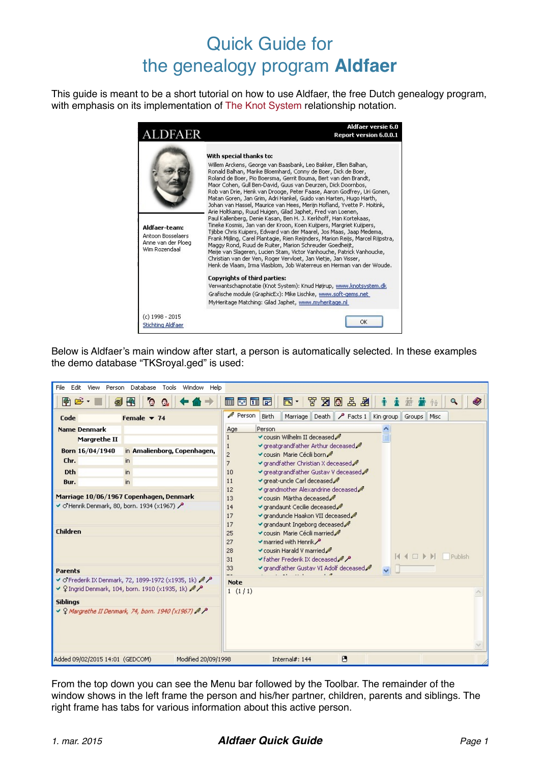# Quick Guide for the genealogy program **Aldfaer**

This guide is meant to be a short tutorial on how to use Aldfaer, the free Dutch genealogy program, with emphasis on its implementation of [The Knot System](http://www.khoejrup.dk/knotsystemen.html) relationship notation.



Below is Aldfaer's main window after start, a person is automatically selected. In these examples the demo database "TKSroyal.ged" is used:

| Edit<br>File<br>View<br>Person                                                                                                                                                                                                                                | Database<br>Tools<br>Window Help                                                                                                                                                                                     |                                                                                                                                                                                                                                                                                                                                                                                                                                                                                                                                                                                                                                                                                                                                                                                                                                                                                          |  |  |  |  |  |  |  |
|---------------------------------------------------------------------------------------------------------------------------------------------------------------------------------------------------------------------------------------------------------------|----------------------------------------------------------------------------------------------------------------------------------------------------------------------------------------------------------------------|------------------------------------------------------------------------------------------------------------------------------------------------------------------------------------------------------------------------------------------------------------------------------------------------------------------------------------------------------------------------------------------------------------------------------------------------------------------------------------------------------------------------------------------------------------------------------------------------------------------------------------------------------------------------------------------------------------------------------------------------------------------------------------------------------------------------------------------------------------------------------------------|--|--|--|--|--|--|--|
| $\bullet$ $\rightarrow$<br>副                                                                                                                                                                                                                                  | 圖<br>$\circ$<br>$\circ$                                                                                                                                                                                              | ■ 協 品 図 区 習<br>$\overline{\blacksquare}$<br>雷林馆团                                                                                                                                                                                                                                                                                                                                                                                                                                                                                                                                                                                                                                                                                                                                                                                                                                         |  |  |  |  |  |  |  |
| Code                                                                                                                                                                                                                                                          | Female $\sqrt{74}$                                                                                                                                                                                                   | Person<br>Facts 1   Kin group<br>Birth<br>Death  <br>Marriage<br>Groups<br>Misc                                                                                                                                                                                                                                                                                                                                                                                                                                                                                                                                                                                                                                                                                                                                                                                                          |  |  |  |  |  |  |  |
| <b>Name Denmark</b><br><b>Margrethe II</b><br>Born 16/04/1940<br>Chr.<br><b>Dth</b><br>Bur.<br>Marriage 10/06/1967 Copenhagen, Denmark<br>$\vee$ O'Henrik Denmark, 80, born. 1934 (x1967) $\triangle$<br><b>Children</b><br><b>Parents</b><br><b>Siblings</b> | in Amalienborg, Copenhagen,<br>in<br>in<br>in<br>● O'Frederik IX Denmark, 72, 1899-1972 (x1935, 1k) / /<br>↓ ♀ Ingrid Denmark, 104, born. 1910 (x1935, 1k) /<br>↓ 9 Margrethe II Denmark, 74, born. 1940 (x1967) / P | Person<br>Age<br>√ cousin Wilhelm II deceased /<br>√ greatgrandfather Arthur deceased<br>$\overline{c}$<br>√ cousin Marie Cécili born<br>$\overline{7}$<br>√ grandfather Christian X deceased /<br>√ greatgrandfather Gustav V deceased<br>10<br>√ great-uncle Carl deceased<br>11<br>√ grandmother Alexandrine deceased<br>12<br>√ cousin Märtha deceased<br>13<br>√ grandaunt Cecilie deceased<br>14<br>√ granduncle Haakon VII deceased<br>17<br>√ grandaunt Ingeborg deceased<br>17<br>25<br>cousin Marie Cécili married<br>$\blacktriangleright$ married with Henrik $\blacktriangleright$<br>27<br>$\checkmark$ cousin Harald V married $\mathscr A$<br>28<br><b>Publish</b><br>$\blacktriangleright$ father Frederik IX deceased $\blacktriangle$ $\blacktriangleright$<br>31<br>√ grandfather Gustav VI Adolf deceased<br>33<br>$\overline{\mathbf{v}}$<br><b>Note</b><br>1(1/1) |  |  |  |  |  |  |  |
| Added 09/02/2015 14:01 (GEDCOM)                                                                                                                                                                                                                               | Modified 20/09/1998                                                                                                                                                                                                  | 凸<br>Internal#: 144                                                                                                                                                                                                                                                                                                                                                                                                                                                                                                                                                                                                                                                                                                                                                                                                                                                                      |  |  |  |  |  |  |  |

From the top down you can see the Menu bar followed by the Toolbar. The remainder of the window shows in the left frame the person and his/her partner, children, parents and siblings. The right frame has tabs for various information about this active person.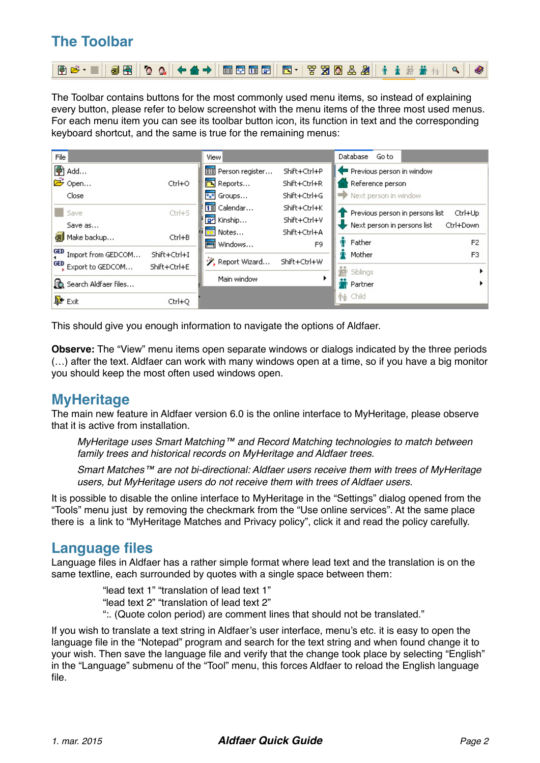## **The Toolbar**

| @F*  98  **  +4+  E5GF  5*  770&#  +±### 4  * </th><th></th><th></th></tr><tr><td></td><td></td><td></td></tr></tbody></table> |
|--------------------------------------------------------------------------------------------------------------------------------|
|--------------------------------------------------------------------------------------------------------------------------------|

The Toolbar contains buttons for the most commonly used menu items, so instead of explaining every button, please refer to below screenshot with the menu items of the three most used menus. For each menu item you can see its toolbar button icon, its function in text and the corresponding keyboard shortcut, and the same is true for the remaining menus:

| File |                                   |              | <b>View</b>            |                | <b>Database</b><br>Go to                                       |                |
|------|-----------------------------------|--------------|------------------------|----------------|----------------------------------------------------------------|----------------|
| 帶    | Add                               |              | File Person register   | Shift+Ctrl+P   | Previous person in window                                      |                |
|      | <b>B</b> Open                     | Ctrl+O       | <b>Reports</b>         | Shift+Ctrl+R   | Reference person                                               |                |
|      | Close                             |              | <sup>e</sup> s® Groups | Shift+Ctrl+G   | Next person in window                                          |                |
|      | Save                              | $Ctr$ H-S    | $\boxed{1}$ Calendar   | Shift+Ctrl+K   | Previous person in persons list<br>Ctrl+Up                     |                |
|      | Save as                           |              | <b>P</b> Kinship       | Shift+Ctrl+V   | Ctrl+Down<br>$\blacktriangleright$ Next person in persons list |                |
|      | a Make backup                     | Ctrl+B       | $\overline{p}$ Notes   | Shift+Ctrl+A   |                                                                |                |
|      |                                   |              | Nindows                | F <sub>9</sub> | Father                                                         | F <sub>2</sub> |
|      | GED Import from GEDCOM            | Shift+Ctrl+I | ※ Report Wizard        | Shift+Ctrl+W   | Mother                                                         | F3             |
|      | <sup>GED</sup> , Export to GEDCOM | Shift+Ctrl+E |                        |                | <b>R</b> Siblings                                              |                |
|      | Search Aldfaer files              |              | Main window            |                | Partner                                                        |                |
|      | <b>D</b> <sup>t</sup> Exit        | Ctrl+O       |                        |                | <b>个心 Child</b>                                                |                |

This should give you enough information to navigate the options of Aldfaer.

**Observe:** The "View" menu items open separate windows or dialogs indicated by the three periods (…) after the text. Aldfaer can work with many windows open at a time, so if you have a big monitor you should keep the most often used windows open.

### **MyHeritage**

The main new feature in Aldfaer version 6.0 is the online interface to MyHeritage, please observe that it is active from installation.

*MyHeritage uses Smart Matching™ and Record Matching technologies to match between family trees and historical records on MyHeritage and Aldfaer trees.*

*Smart Matches™ are not bi-directional: Aldfaer users receive them with trees of MyHeritage users, but MyHeritage users do not receive them with trees of Aldfaer users.*

It is possible to disable the online interface to MyHeritage in the "Settings" dialog opened from the "Tools" menu just by removing the checkmark from the "Use online services". At the same place there is a link to "MyHeritage Matches and Privacy policy", click it and read the policy carefully.

### **Language files**

Language files in Aldfaer has a rather simple format where lead text and the translation is on the same textline, each surrounded by quotes with a single space between them:

> "lead text 1" "translation of lead text 1" "lead text 2" "translation of lead text 2" ":. (Quote colon period) are comment lines that should not be translated."

If you wish to translate a text string in Aldfaer's user interface, menu's etc. it is easy to open the language file in the "Notepad" program and search for the text string and when found change it to your wish. Then save the language file and verify that the change took place by selecting "English" in the "Language" submenu of the "Tool" menu, this forces Aldfaer to reload the English language file.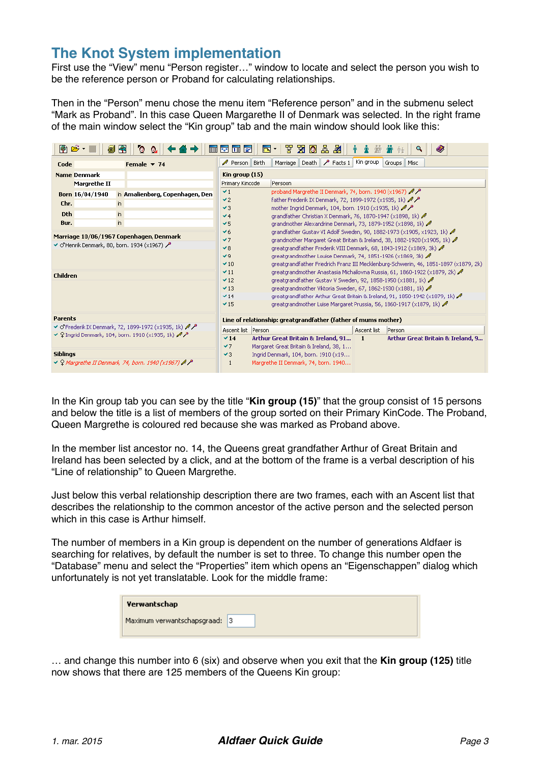### **The Knot System implementation**

First use the "View" menu "Person register…" window to locate and select the person you wish to be the reference person or Proband for calculating relationships.

Then in the "Person" menu chose the menu item "Reference person" and in the submenu select "Mark as Proband". In this case Queen Margarethe II of Denmark was selected. In the right frame of the main window select the "Kin group" tab and the main window should look like this:

| ● 2 -           |                 | 5 Fr | $\circ$<br>- 6.                                                                      | 画图面图                 |       | $\blacksquare$ $\blacksquare$ $\blacksquare$ $\blacksquare$ $\blacksquare$ $\blacksquare$ $\blacksquare$           |                          |             | Q                                                                                                                                                                |
|-----------------|-----------------|------|--------------------------------------------------------------------------------------|----------------------|-------|--------------------------------------------------------------------------------------------------------------------|--------------------------|-------------|------------------------------------------------------------------------------------------------------------------------------------------------------------------|
| Code            |                 |      | Female $\blacktriangledown$ 74                                                       | $\mathscr N$ Person  | Birth | Marriage                                                                                                           | Death $\sqrt{P}$ Facts 1 | Kin group   | Misc<br>Groups                                                                                                                                                   |
|                 | Name Denmark    |      |                                                                                      | Kin group (15)       |       |                                                                                                                    |                          |             |                                                                                                                                                                  |
|                 | Margrethe II    |      |                                                                                      | Primary Kincode      |       | Persoon                                                                                                            |                          |             |                                                                                                                                                                  |
|                 | Born 16/04/1940 |      | in Amalienborg, Copenhagen, Den                                                      | $\vee$ 1             |       | proband Margrethe II Denmark, 74, born. 1940 (x1967) $\mathcal{M}$                                                 |                          |             |                                                                                                                                                                  |
| Chr.            |                 | in.  |                                                                                      | $\vee$ 2<br>$\vee$ 3 |       | father Frederik IX Denmark, 72, 1899-1972 (x1935, 1k) ♦                                                            |                          |             |                                                                                                                                                                  |
| <b>Dth</b>      |                 | in.  |                                                                                      | 44                   |       | mother Ingrid Denmark, 104, born. 1910 (x1935, 1k) 4<br>grandfather Christian X Denmark, 76, 1870-1947 (x1898, 1k) |                          |             |                                                                                                                                                                  |
| Bur.            |                 | in   |                                                                                      | $\vee$ 5             |       | grandmother Alexandrine Denmark, 73, 1879-1952 (x1898, 1k)                                                         |                          |             |                                                                                                                                                                  |
|                 |                 |      |                                                                                      | 46                   |       |                                                                                                                    |                          |             | grandfather Gustav VI Adolf Sweden, 90, 1882-1973 (x1905, x1923, 1k)                                                                                             |
|                 |                 |      | Marriage 10/06/1967 Copenhagen, Denmark                                              | 47                   |       |                                                                                                                    |                          |             | grandmother Margaret Great Britain & Ireland, 38, 1882-1920 (x1905, 1k)                                                                                          |
|                 |                 |      | $\blacktriangleright$ O'Henrik Denmark, 80, born. 1934 (x1967) $\blacktriangleright$ | 48                   |       |                                                                                                                    |                          |             | greatgrandfather Frederik VIII Denmark, 68, 1843-1912 (x1869, 3k)                                                                                                |
|                 |                 |      |                                                                                      | 79                   |       | greatgrandmother Louise Denmark, 74, 1851-1926 (x1869, 3k)                                                         |                          |             |                                                                                                                                                                  |
|                 |                 |      |                                                                                      | $-10$<br>$-11$       |       |                                                                                                                    |                          |             | greatgrandfather Friedrich Franz III Mecklenburg-Schwerin, 46, 1851-1897 (x1879, 2k)<br>greatgrandmother Anastasia Michailovna Russia, 61, 1860-1922 (x1879, 2k) |
| Children        |                 |      |                                                                                      | $-12$                |       | greatgrandfather Gustav V Sweden, 92, 1858-1950 (x1881, 1k)                                                        |                          |             |                                                                                                                                                                  |
|                 |                 |      |                                                                                      | $-13$                |       | greatgrandmother Viktoria Sweden, 67, 1862-1930 (x1881, 1k)                                                        |                          |             |                                                                                                                                                                  |
|                 |                 |      |                                                                                      | $\times$ 14          |       |                                                                                                                    |                          |             | greatgrandfather Arthur Great Britain & Ireland, 91, 1850-1942 (x1879, 1k)                                                                                       |
|                 |                 |      |                                                                                      | $-15$                |       |                                                                                                                    |                          |             | greatgrandmother Luise Margaret Prussia, 56, 1860-1917 (x1879, 1k)                                                                                               |
| Parents         |                 |      |                                                                                      |                      |       | Line of relationship: greatgrandfather (father of mums mother)                                                     |                          |             |                                                                                                                                                                  |
|                 |                 |      | ● O'Frederik IX Denmark, 72, 1899-1972 (x1935, 1k) /                                 | Ascent list Person   |       |                                                                                                                    |                          | Ascent list | Person                                                                                                                                                           |
|                 |                 |      | ✔ 9 Ingrid Denmark, 104, born. 1910 (x1935, 1k) $\mathcal{M}$                        | $\vee$ 14            |       | Arthur Great Britain & Ireland, 91                                                                                 |                          | 1           | Arthur Great Britain & Ireland, 9                                                                                                                                |
|                 |                 |      |                                                                                      | 47                   |       | Margaret Great Britain & Ireland, 38, 1                                                                            |                          |             |                                                                                                                                                                  |
| <b>Siblings</b> |                 |      |                                                                                      | $\vee$ 3             |       | Ingrid Denmark, 104, born, 1910 (x19                                                                               |                          |             |                                                                                                                                                                  |
|                 |                 |      | $\vee$ Q Margrethe II Denmark, 74, born. 1940 (x1967) $\mathbb{A}$ $\mathbb{A}$      | 1                    |       | Margrethe II Denmark, 74, born. 1940                                                                               |                          |             |                                                                                                                                                                  |

In the Kin group tab you can see by the title "**Kin group (15)**" that the group consist of 15 persons and below the title is a list of members of the group sorted on their Primary KinCode. The Proband, Queen Margrethe is coloured red because she was marked as Proband above.

In the member list ancestor no. 14, the Queens great grandfather Arthur of Great Britain and Ireland has been selected by a click, and at the bottom of the frame is a verbal description of his "Line of relationship" to Queen Margrethe.

Just below this verbal relationship description there are two frames, each with an Ascent list that describes the relationship to the common ancestor of the active person and the selected person which in this case is Arthur himself.

The number of members in a Kin group is dependent on the number of generations Aldfaer is searching for relatives, by default the number is set to three. To change this number open the "Database" menu and select the "Properties" item which opens an "Eigenschappen" dialog which unfortunately is not yet translatable. Look for the middle frame:

| Verwantschap                  |  |
|-------------------------------|--|
| Maximum verwantschapsgraad: 3 |  |

… and change this number into 6 (six) and observe when you exit that the **Kin group (125)** title now shows that there are 125 members of the Queens Kin group: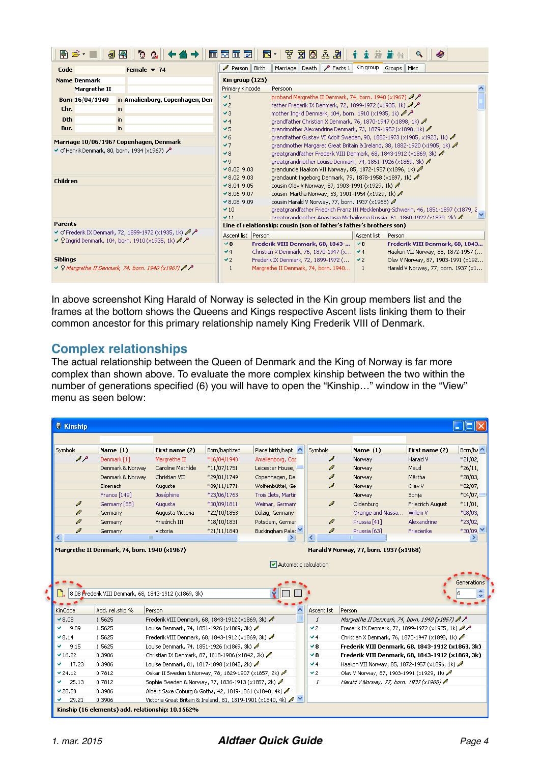| 图后一<br>51 FR<br>O                                                                                         | 圍<br>O.                         | $\blacksquare$                                                                                                                          | 뿝<br>80品出<br>$\overline{\mathbb{R}}$ .                                                                                                                                                                                                                                                                                                                                                                                                                                                                                                                                                                                                         |                | ⊛                                                                                  |
|-----------------------------------------------------------------------------------------------------------|---------------------------------|-----------------------------------------------------------------------------------------------------------------------------------------|------------------------------------------------------------------------------------------------------------------------------------------------------------------------------------------------------------------------------------------------------------------------------------------------------------------------------------------------------------------------------------------------------------------------------------------------------------------------------------------------------------------------------------------------------------------------------------------------------------------------------------------------|----------------|------------------------------------------------------------------------------------|
| Female $\sqrt{74}$<br>Code                                                                                |                                 | Birth<br>$\mathscr N$ Person                                                                                                            | Marriage Death P Facts 1                                                                                                                                                                                                                                                                                                                                                                                                                                                                                                                                                                                                                       | Kin group      | Groups<br>Misc                                                                     |
| <b>Name Denmark</b>                                                                                       |                                 | Kin group (125)                                                                                                                         |                                                                                                                                                                                                                                                                                                                                                                                                                                                                                                                                                                                                                                                |                |                                                                                    |
| Margrethe II                                                                                              |                                 | Primary Kincode                                                                                                                         | Persoon                                                                                                                                                                                                                                                                                                                                                                                                                                                                                                                                                                                                                                        |                |                                                                                    |
| Born 16/04/1940                                                                                           | in Amalienborg, Copenhagen, Den | $\vee$ 1                                                                                                                                | proband Margrethe II Denmark, 74, born, 1940 (x1967) $\mathcal{M}$                                                                                                                                                                                                                                                                                                                                                                                                                                                                                                                                                                             |                |                                                                                    |
| Chr.<br>in.                                                                                               |                                 | 42<br>43                                                                                                                                | father Frederik IX Denmark, 72, 1899-1972 (x1935, 1k) ♦                                                                                                                                                                                                                                                                                                                                                                                                                                                                                                                                                                                        |                |                                                                                    |
| <b>Dth</b><br>in.                                                                                         |                                 | 44                                                                                                                                      | mother Ingrid Denmark, 104, born. 1910 (x1935, 1k) $\mathcal{M}$<br>grandfather Christian X Denmark, 76, 1870-1947 (x1898, 1k)                                                                                                                                                                                                                                                                                                                                                                                                                                                                                                                 |                |                                                                                    |
| in<br>Bur.                                                                                                |                                 | $\vee$ 5                                                                                                                                | grandmother Alexandrine Denmark, 73, 1879-1952 (x1898, 1k)                                                                                                                                                                                                                                                                                                                                                                                                                                                                                                                                                                                     |                |                                                                                    |
| Marriage 10/06/1967 Copenhagen, Denmark<br>● O'Henrik Denmark, 80, born. 1934 (x1967)<br>Children         |                                 | 46<br>47<br>48<br>49<br>$\times$ 8.02 9.03<br>$\times$ 8.02 9.03<br>$9.04$ 9.05<br>$×8.06$ 9.07<br>$\times$ 8.08 9.09<br>$-10$<br>$-11$ | grandfather Gustav VI Adolf Sweden, 90, 1882-1973 (x1905, x1923, 1k)<br>grandmother Margaret Great Britain & Ireland, 38, 1882-1920 (x1905, 1k)<br>greatgrandfather Frederik VIII Denmark, 68, 1843-1912 (x1869, 3k)<br>greatgrandmother Louise Denmark, 74, 1851-1926 (x1869, 3k)<br>granduncle Haakon VII Norway, 85, 1872-1957 (x1896, 1k)<br>grandaunt Ingeborg Denmark, 79, 1878-1958 (x1897, 1k)<br>cousin Olav V Norway, 87, 1903-1991 (x1929, 1k) /<br>cousin Märtha Norway, 53, 1901-1954 (x1929, 1k)<br>cousin Harald V Norway, 77, born. 1937 (x1968)<br>oreatorandmother Anastasia Michailovna Russia, 61, 1860-1922 (v1879, 2k) / |                | greatgrandfather Friedrich Franz III Mecklenburg-Schwerin, 46, 1851-1897 (x1879, 2 |
| <b>Parents</b>                                                                                            |                                 |                                                                                                                                         | Line of relationship: cousin (son of father's father's brothers son)                                                                                                                                                                                                                                                                                                                                                                                                                                                                                                                                                                           |                |                                                                                    |
| ● O'Frederik IX Denmark, 72, 1899-1972 (x1935, 1k) /<br>● ♀ Ingrid Denmark, 104, born. 1910 (x1935, 1k) / |                                 | Ascent list Person                                                                                                                      |                                                                                                                                                                                                                                                                                                                                                                                                                                                                                                                                                                                                                                                | Ascent list    | Person                                                                             |
|                                                                                                           |                                 | $\vee$ 8<br>44                                                                                                                          | Frederik VIII Denmark, 68, 1843-<br>Christian X Denmark, 76, 1870-1947 (x,., 1 -⁄ 4                                                                                                                                                                                                                                                                                                                                                                                                                                                                                                                                                            | $\vee$ 8       | Frederik VIII Denmark, 68, 1843<br>Haakon VII Norway, 85, 1872-1957 (              |
| <b>Siblinas</b>                                                                                           |                                 | $\vee$ 2                                                                                                                                | Frederik IX Denmark, 72, 1899-1972 (   ✔2                                                                                                                                                                                                                                                                                                                                                                                                                                                                                                                                                                                                      |                | Olav V Norway, 87, 1903-1991 (x192                                                 |
| → Q Margrethe II Denmark, 74, born, 1940 (x1967) / P                                                      |                                 | 1                                                                                                                                       | Margrethe II Denmark, 74, born. 1940                                                                                                                                                                                                                                                                                                                                                                                                                                                                                                                                                                                                           | $\blacksquare$ | Harald V Norway, 77, born. 1937 (x1                                                |

In above screenshot King Harald of Norway is selected in the Kin group members list and the frames at the bottom shows the Queens and Kings respective Ascent lists linking them to their common ancestor for this primary relationship namely King Frederik VIII of Denmark.

#### **Complex relationships**

The actual relationship between the Queen of Denmark and the King of Norway is far more complex than shown above. To evaluate the more complex kinship between the two within the number of generations specified (6) you will have to open the "Kinship…" window in the "View" menu as seen below:

| <b>Symbols</b>                                | Name $(1)$                                            | First name (2)                                                                               | Born/baptized | Place birth/bapt ^          | Symbols                 | Name $(1)$                                                                                       | First name (2)   | Born/ba ^        |
|-----------------------------------------------|-------------------------------------------------------|----------------------------------------------------------------------------------------------|---------------|-----------------------------|-------------------------|--------------------------------------------------------------------------------------------------|------------------|------------------|
| $\ell$ $\ell$                                 | Denmark [1]                                           | Margrethe II                                                                                 | *16/04/1940   | Amalienborg, Cor            | ∥                       | Norway                                                                                           | Harald V         | $*21/02,$        |
|                                               | Denmark & Norway                                      | Caroline Mathilde                                                                            | $*11/07/1751$ | Leicester House, -          | ∥                       | Norway                                                                                           | Maud             | $*26/11$ ,       |
|                                               | Denmark & Norway                                      | Christian VII                                                                                | *29/01/1749   | Copenhagen, De              | ∥                       | Norway                                                                                           | Märtha           | *28/03,          |
|                                               | Eisenach                                              | Auguste                                                                                      | *09/11/1771   | Wolfenbüttel, Ge            | ∥                       | Norway                                                                                           | Olav V           | *02/07,          |
|                                               | France [149]                                          | Joséphine                                                                                    | *23/06/1763   | Trois Ilets, Martin         |                         | Norway                                                                                           | Sonja            | $*04/07.$        |
| P                                             | Germany [55]                                          | Augusta                                                                                      | *30/09/1811   | Weimar, German <sup>®</sup> | ℐ                       | Oldenburg                                                                                        | Friedrich August | $*11/01$ ,       |
| ∥                                             | Germany                                               | Augusta Victoria                                                                             | *22/10/1858   | Dölzig, Germany             |                         | Orange and Nassa                                                                                 | Willem V         | *08/03,          |
| ∥                                             | Germany                                               | Friedrich III                                                                                | *18/10/1831   | Potsdam, German             | ∥                       | Prussia <sup>[41]</sup>                                                                          | Alexandrine      | *23/02,          |
| ℐ                                             | Germany                                               | Victoria                                                                                     | *21/11/1840   | Buckingham Palar            | ℐ                       | Prussia [63]                                                                                     | Friederike       | *30/09.          |
| ⋖                                             |                                                       |                                                                                              |               |                             |                         |                                                                                                  |                  | ⋗                |
|                                               | Margrethe II Denmark, 74, born. 1940 (x1967)          |                                                                                              |               | Automatic calculation       |                         | Harald V Norway, 77, born. 1937 (x1968)                                                          |                  |                  |
|                                               | 8.08 Prederik VIII Denmark, 68, 1843-1912 (x1869, 3k) |                                                                                              |               |                             |                         |                                                                                                  |                  | Generations<br>۸ |
|                                               |                                                       |                                                                                              |               |                             |                         |                                                                                                  |                  |                  |
|                                               | Add. rel.ship %                                       | Person                                                                                       |               |                             | Ascent list             | Person                                                                                           |                  |                  |
|                                               | 1.5625                                                | Frederik VIII Denmark, 68, 1843-1912 (x1869, 3k)                                             |               |                             | 1                       | Margrethe II Denmark, 74, born. 1940 (x1967) $\mathbb{A}$ $\mathbb{A}$                           |                  |                  |
| 9.09<br>٠                                     | 1.5625<br>1.5625                                      | Louise Denmark, 74, 1851-1926 (x1869, 3k)                                                    |               |                             | $\vee$ 2<br>$4^{\circ}$ | Frederik IX Denmark, 72, 1899-1972 (x1935, 1k) /                                                 |                  |                  |
| پ<br>9.15                                     | 1.5625                                                | Frederik VIII Denmark, 68, 1843-1912 (x1869, 3k)                                             |               |                             | 48                      | Christian X Denmark, 76, 1870-1947 (x1898, 1k)                                                   |                  |                  |
| KinCode<br>$\vee$ 8.08<br>$-8.14$<br>$-16.22$ | 0.3906                                                | Louise Denmark, 74, 1851-1926 (x1869, 3k)                                                    |               |                             | - 8                     | Frederik VIII Denmark, 68, 1843-1912 (x1869, 3k)                                                 |                  |                  |
| 17.23                                         | 0.3906                                                | Christian IX Denmark, 87, 1818-1906 (x1842, 2k)<br>Louise Denmark, 81, 1817-1898 (x1842, 2k) |               |                             | $4^{\circ}$             | Frederik VIII Denmark, 68, 1843-1912 (x1869, 3k)<br>Haakon VII Norway, 85, 1872-1957 (x1896, 1k) |                  |                  |
| $-24.12$                                      | 0.7812                                                | Oskar II Sweden & Norway, 78, 1829-1907 (x1857, 2k)                                          |               |                             | $\vee$ 2                | Olav V Norway, 87, 1903-1991 (x1929, 1k)                                                         |                  |                  |
| 25.13<br>پ                                    | 0.7812                                                | Sophie Sweden & Norway, 77, 1836-1913 (x1857, 2k)                                            |               |                             | 1                       | Harald V Norway, 77, born. 1937 (x1968)                                                          |                  |                  |
| $-28.20$                                      | 0.3906                                                | Albert Saxe Coburg & Gotha, 42, 1819-1861 (x1840, 4k)                                        |               |                             |                         |                                                                                                  |                  |                  |

 $\overline{\phantom{a}}$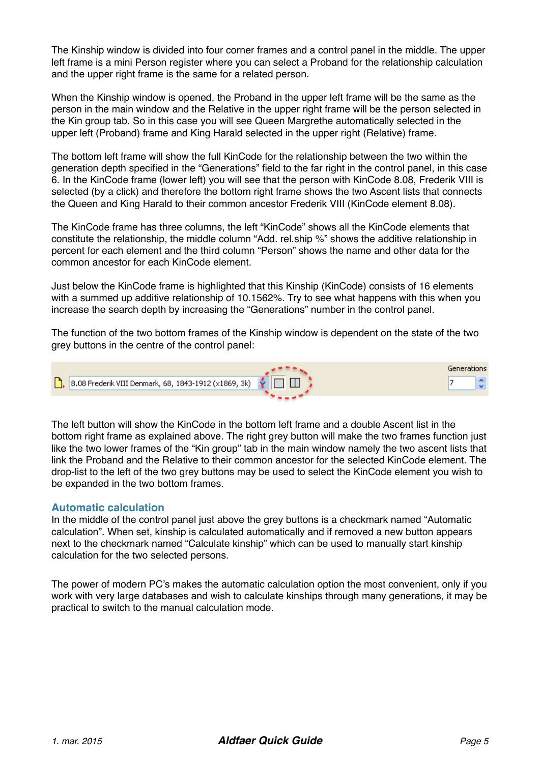The Kinship window is divided into four corner frames and a control panel in the middle. The upper left frame is a mini Person register where you can select a Proband for the relationship calculation and the upper right frame is the same for a related person.

When the Kinship window is opened, the Proband in the upper left frame will be the same as the person in the main window and the Relative in the upper right frame will be the person selected in the Kin group tab. So in this case you will see Queen Margrethe automatically selected in the upper left (Proband) frame and King Harald selected in the upper right (Relative) frame.

The bottom left frame will show the full KinCode for the relationship between the two within the generation depth specified in the "Generations" field to the far right in the control panel, in this case 6. In the KinCode frame (lower left) you will see that the person with KinCode 8.08, Frederik VIII is selected (by a click) and therefore the bottom right frame shows the two Ascent lists that connects the Queen and King Harald to their common ancestor Frederik VIII (KinCode element 8.08).

The KinCode frame has three columns, the left "KinCode" shows all the KinCode elements that constitute the relationship, the middle column "Add. rel.ship %" shows the additive relationship in percent for each element and the third column "Person" shows the name and other data for the common ancestor for each KinCode element.

Just below the KinCode frame is highlighted that this Kinship (KinCode) consists of 16 elements with a summed up additive relationship of 10.1562%. Try to see what happens with this when you increase the search depth by increasing the "Generations" number in the control panel.

The function of the two bottom frames of the Kinship window is dependent on the state of the two grey buttons in the centre of the control panel:



The left button will show the KinCode in the bottom left frame and a double Ascent list in the bottom right frame as explained above. The right grey button will make the two frames function just like the two lower frames of the "Kin group" tab in the main window namely the two ascent lists that link the Proband and the Relative to their common ancestor for the selected KinCode element. The drop-list to the left of the two grey buttons may be used to select the KinCode element you wish to be expanded in the two bottom frames.

#### **Automatic calculation**

In the middle of the control panel just above the grey buttons is a checkmark named "Automatic calculation". When set, kinship is calculated automatically and if removed a new button appears next to the checkmark named "Calculate kinship" which can be used to manually start kinship calculation for the two selected persons.

The power of modern PC's makes the automatic calculation option the most convenient, only if you work with very large databases and wish to calculate kinships through many generations, it may be practical to switch to the manual calculation mode.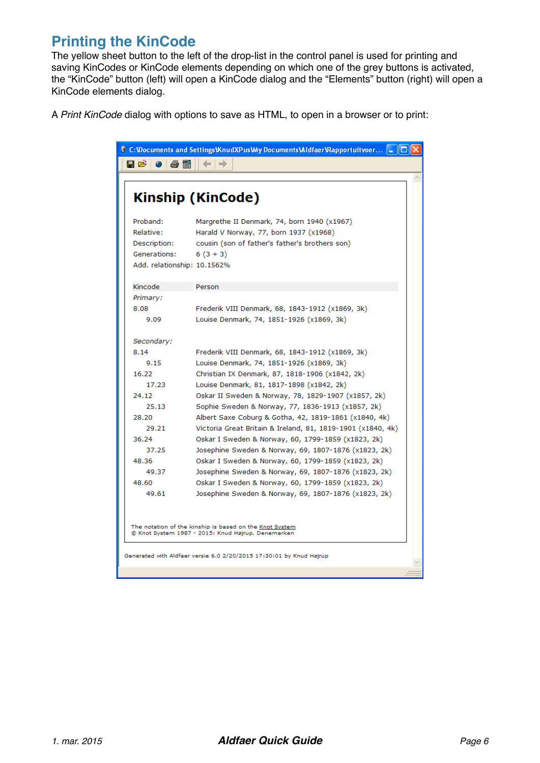## **Printing the KinCode**

The yellow sheet button to the left of the drop-list in the control panel is used for printing and saving KinCodes or KinCode elements depending on which one of the grey buttons is activated, the "KinCode" button (left) will open a KinCode dialog and the "Elements" button (right) will open a KinCode elements dialog.

A *Print KinCode* dialog with options to save as HTML, to open in a browser or to print:

|                             | Kinship (KinCode)                                                                                             |
|-----------------------------|---------------------------------------------------------------------------------------------------------------|
| Proband:                    | Margrethe II Denmark, 74, born 1940 (x1967)                                                                   |
| Relative:                   | Harald V Norway, 77, born 1937 (x1968)                                                                        |
| Description:                | cousin (son of father's father's brothers son)                                                                |
| Generations:                | $6(3+3)$                                                                                                      |
| Add. relationship: 10.1562% |                                                                                                               |
| Kincode                     | Person                                                                                                        |
| Primary:                    |                                                                                                               |
| 8.08                        | Frederik VIII Denmark, 68, 1843-1912 (x1869, 3k)                                                              |
| 9.09                        | Louise Denmark, 74, 1851-1926 (x1869, 3k)                                                                     |
| Secondary:                  |                                                                                                               |
| 8.14                        | Frederik VIII Denmark, 68, 1843-1912 (x1869, 3k)                                                              |
| 9.15                        | Louise Denmark, 74, 1851-1926 (x1869, 3k)                                                                     |
| 16.22                       | Christian IX Denmark, 87, 1818-1906 (x1842, 2k)                                                               |
| 17.23                       | Louise Denmark, 81, 1817-1898 (x1842, 2k)                                                                     |
| 24.12                       | Oskar II Sweden & Norway, 78, 1829-1907 (x1857, 2k)                                                           |
| 25.13                       | Sophie Sweden & Norway, 77, 1836-1913 (x1857, 2k)                                                             |
| 28.20                       | Albert Saxe Coburg & Gotha, 42, 1819-1861 (x1840, 4k)                                                         |
| 29.21                       | Victoria Great Britain & Ireland, 81, 1819-1901 (x1840, 4k)                                                   |
| 36.24                       | Oskar I Sweden & Norway, 60, 1799-1859 (x1823, 2k)                                                            |
| 37.25                       | Josephine Sweden & Norway, 69, 1807-1876 (x1823, 2k)                                                          |
| 48.36                       | Oskar I Sweden & Norway, 60, 1799-1859 (x1823, 2k)                                                            |
| 49.37                       | Josephine Sweden & Norway, 69, 1807-1876 (x1823, 2k)                                                          |
| 48.60                       | Oskar I Sweden & Norway, 60, 1799-1859 (x1823, 2k)                                                            |
| 49.61                       | Josephine Sweden & Norway, 69, 1807-1876 (x1823, 2k)                                                          |
|                             | The notation of the kinship is based on the Knot System<br>C Knot System 1987 - 2015: Knud Højrup, Denemarken |